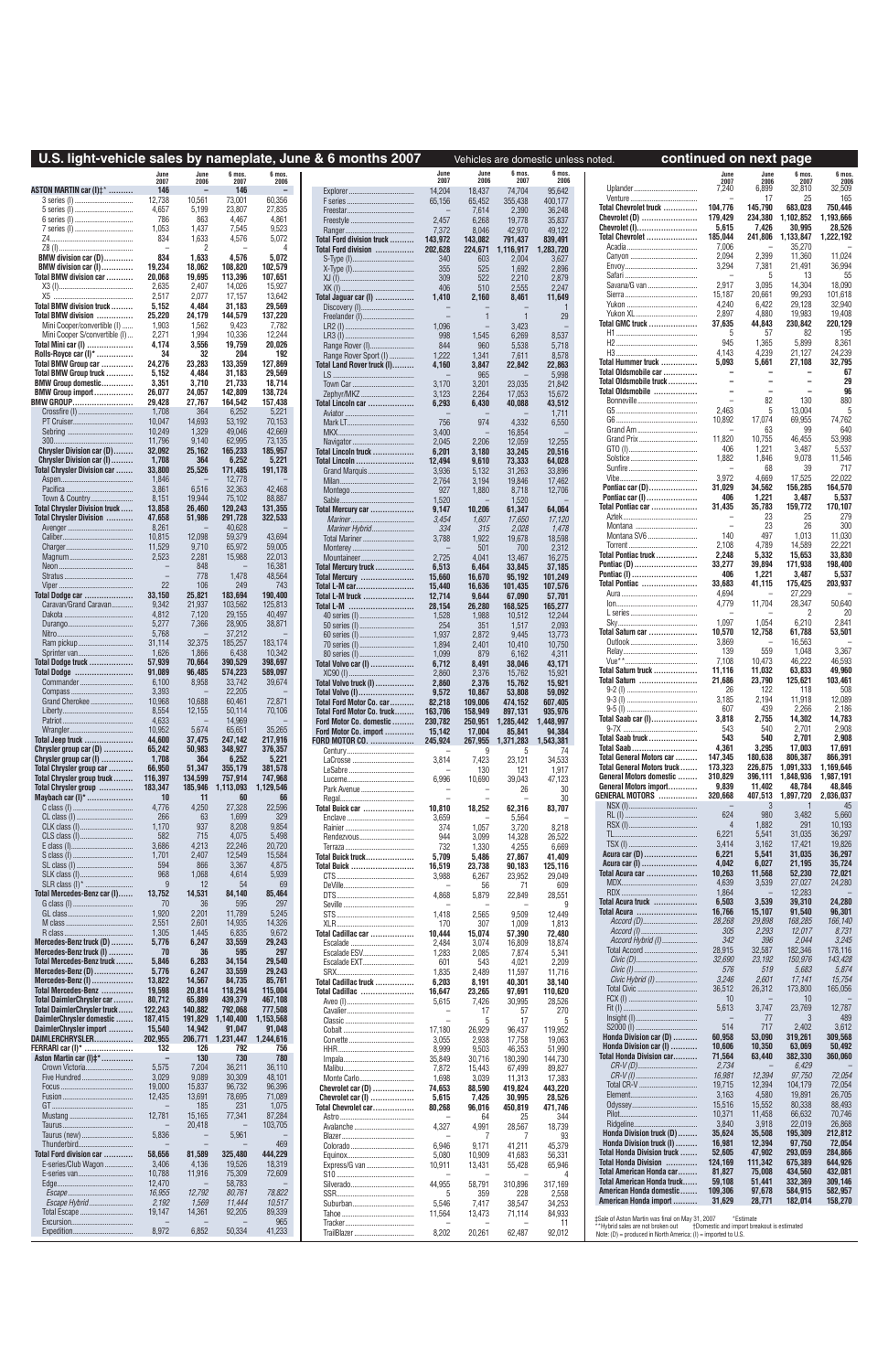|                                                              |                   |                   |                     |                          | U.S. light-vehicle sales by nameplate, June & 6 months 2007  |                    |                                   |                      | Vehicles are domestic unless noted. | continued on next page                                                                                                              |                    |                          |                     |                      |
|--------------------------------------------------------------|-------------------|-------------------|---------------------|--------------------------|--------------------------------------------------------------|--------------------|-----------------------------------|----------------------|-------------------------------------|-------------------------------------------------------------------------------------------------------------------------------------|--------------------|--------------------------|---------------------|----------------------|
|                                                              | 2007              | June<br>2006      | 6 mos.<br>2007      | 6 mos.<br>2006           |                                                              | June<br>2007       | June<br>2006                      | 6 mos<br>2007        | 6 mos.<br>2006                      |                                                                                                                                     | June<br>2007       | June<br>2006             | 6 mos<br>2007       | 6 mos.<br>2006       |
| ASTON MARTIN car (I)#*                                       | 146               |                   | 146                 | $\overline{\phantom{a}}$ |                                                              | 14,204             | 18,437                            | 74,704               | 95,642                              |                                                                                                                                     | 7,240              | 6,899                    | 32,810              | 32,509               |
| 3 series (I).<br>5 series (I).<br>                           | 12,738<br>4.657   | 10,561<br>5,199   | 73,001<br>23,807    | 60,356<br>27,835         |                                                              | 65,156             | 65,452<br>7,614                   | 355,438<br>2,390     | 400,177<br>36,248                   | Total Chevrolet truck                                                                                                               | 104,776            | 17<br>145,790            | 25<br>683,028       | 165<br>750,446       |
|                                                              | 786               | 863               | 4,467               | 4,861                    |                                                              | 2,457              | 6,268                             | 19,778               | 35,837                              | Chevrolet (D)                                                                                                                       | 179,429            | 234,380                  | ,102,852            | 1,193,666            |
| Z4<br>                                                       | 1,053<br>834      | 1,437<br>1,633    | 7,545<br>4,576      | 9,523<br>5,072           | Ranger<br>Total Ford division truck                          | 7,372<br>143,972   | 8,046<br>143,082                  | 42,970<br>791,437    | 49,122<br>839,491                   | Chevrolet (I)<br>Total Chevrolet                                                                                                    | 5,615<br>185,044   | 7,426<br>241,806         | 30.995<br>1,133,847 | 28.526<br>1,222,192  |
| $Z8$ (I)                                                     |                   | $\overline{2}$    |                     | 4                        | Total Ford division                                          | 202,628            | 224,671                           | ,116,917             | 1,283,720                           |                                                                                                                                     | 7.006              |                          | 35,270              |                      |
| BMW division car (D)<br>BMW division car (I)                 | 834<br>19,234     | 1,633<br>18,062   | 4,576<br>108,820    | 5,072<br>102,579         |                                                              | 340                | 603                               | 2,004                | 3,627                               |                                                                                                                                     | 2,094<br>3,294     | 2,399<br>7,381           | 11,360<br>21,491    | 11,024<br>36,994     |
| Total BMW division car                                       | 20,068            | 19,695            | 113,396             | 107,651                  |                                                              | 355<br>309         | 525<br>522                        | 1,692<br>2,210       | 2,896<br>2,879                      |                                                                                                                                     |                    | 5                        | 13                  | 55                   |
|                                                              | 2,635             | 2,407             | 14,026              | 15,927                   |                                                              | 406                | 510                               | 2,555                | 2,247                               | Savana/G van                                                                                                                        | 2,917<br>15,187    | 3,095<br>20,661          | 14,304<br>99,293    | 18,090<br>101,618    |
| Total BMW division truck                                     | 2,517<br>5,152    | 2,077<br>4,484    | 17,157<br>31,183    | 13,642<br>29,569         | Total Jaguar car (I)                                         | 1,410              | 2,160                             | 8,461                | 11,649                              |                                                                                                                                     | 4.240              | 6,422                    | 29,128              | 32,940               |
| Total BMW division                                           | 25,220            | 24,179            | 144,579             | 137,220                  |                                                              |                    | $\overline{1}$                    | -1                   | 29                                  | <b>Total GMC truck </b>                                                                                                             | 2,897<br>37,635    | 4,880<br>44,843          | 19,983<br>230,842   | 19,408<br>220,129    |
| Mini Cooper/convertible (I)<br>Mini Cooper S/convertible (I) | 1,903<br>2,271    | 1,562<br>1,994    | 9,423<br>10,336     | 7,782<br>12,244          | LR3 (I)                                                      | 1,096<br>998       | $\overline{\phantom{0}}$<br>1,545 | 3,423<br>6,269       | 8,537                               |                                                                                                                                     | 5                  | 57                       | 82                  | 195                  |
| Total Mini car (I)                                           | 4,174             | 3,556             | 19,759              | 20,026                   |                                                              | 844                | 960                               | 5,538                | 5,718                               |                                                                                                                                     | 945                | 1,365                    | 5,899               | 8,361                |
| Rolls-Royce car (I)*<br>Total BMW Group car                  | 34<br>24,276      | 32<br>23,283      | 204<br>133,359      | 192<br>127,869           | Range Rover Sport (I)<br>Total Land Rover truck (I)          | 1,222<br>4,160     | 1,341<br>3,847                    | 7,611<br>22,842      | 8,578<br>22,863                     | H3.<br>Total Hummer truck                                                                                                           | 4,143<br>5.093     | 4,239<br>5,661           | 21,127<br>27,108    | 24,239<br>32,795     |
| Total BMW Group truck                                        | 5,152             | 4,484             | 31,183              | 29,569                   | LS.                                                          |                    | 965                               |                      | 5,998                               | Total Oldsmobile car                                                                                                                |                    |                          |                     | 67                   |
| <b>BMW Group domestic</b><br><b>BMW Group import </b>        | 3,351<br>26,077   | 3,710<br>24,057   | 21,733<br>142,809   | 18,714<br>138,724        |                                                              | 3,170              | 3,201                             | 23,035               | 21,842                              | Total Oldsmobile truck<br>Total Oldsmobile                                                                                          |                    |                          |                     | 29<br>96             |
| BMW GROUP                                                    | 29,428            | 27,767            | 164,542             | 157,438                  | Zephyr/MKZ<br>Total Lincoln car                              | 3.123<br>6,293     | 2.264<br>6,430                    | 17,053<br>40,088     | 15,672<br>43,512                    |                                                                                                                                     |                    | 82                       | 130                 | 880                  |
|                                                              | 1,708             | 364               | 6,252               | 5,221                    |                                                              |                    |                                   |                      | 1,711                               |                                                                                                                                     | 2,463<br>10,892    | 5<br>17,074              | 13,004<br>69,955    | 74,762               |
|                                                              | 10,047<br>10,249  | 14,693<br>1,329   | 53,192<br>49,046    | 70,153<br>42,669         |                                                              | 756<br>3,400       | 974<br>$\overline{\phantom{a}}$   | 4,332<br>16,854      | 6,550                               |                                                                                                                                     |                    | 63                       | 99                  | 640                  |
| 300.                                                         | 11.796            | 9,140             | 62.995              | 73,135                   |                                                              | 2,045              | 2,206                             | 12,059               | 12,255                              |                                                                                                                                     | 11,820<br>406      | 10,755<br>1,221          | 46,455<br>3,487     | 53,998<br>5,537      |
| Chrysler Division car (D)<br>Chrysler Division car (I)       | 32,092<br>1,708   | 25,162<br>364     | 165,233<br>6,252    | 185,957<br>5,221         | Total Lincoln truck<br>Total Lincoln                         | 6,201<br>12,494    | 3,180<br>9.610                    | 33,245<br>73,333     | 20,516<br>64,028                    |                                                                                                                                     | 1,882              | 1,846                    | 9,078               | 11,546               |
| Total Chrysler Division car                                  | 33,800            | 25,526            | 171,485             | 191,178                  |                                                              | 3,936              | 5,132                             | 31,263               | 33,896                              |                                                                                                                                     |                    | 68                       | 39                  | 717                  |
| Pacifica.                                                    | 1,846<br>3,861    | 6,516             | 12,778<br>32,363    | 42,468                   |                                                              | 2,764<br>927       | 3,194<br>1,880                    | 19,846<br>8,718      | 17,462<br>12,706                    | Pontiac car (D)                                                                                                                     | 3,972<br>31,029    | 4,669<br>34,562          | 17,525<br>156,285   | 22,022<br>164,570    |
| Town & Country<br>.                                          | 8,151             | 19,944            | 75,102              | 88,887                   |                                                              | 1,520              |                                   | 1,520                |                                     | Pontiac car (I)                                                                                                                     | 406                | 1,221                    | 3,487               | 5,537                |
| <b>Total Chrysler Division truck</b>                         | 13,858<br>47,658  | 26,460<br>51,986  | 120,243<br>291,728  | 131,355<br>322,533       | Total Mercury car                                            | 9,147              | 10,206                            | 61,347               | 64,064                              | Total Pontiac car                                                                                                                   | 31,435             | 35,783<br>23             | 159,772<br>25       | 170,107<br>279       |
| Total Chrysler Division                                      | 8,261             |                   | 40,628              |                          | Mariner<br>Mariner Hybrid                                    | 3,454<br>334       | 1,607<br>315                      | 17,650<br>2,028      | 17,120<br>1,478                     |                                                                                                                                     |                    | 23                       | 26                  | 300                  |
|                                                              | 10,815            | 12,098            | 59,379              | 43,694                   | Total Mariner                                                | 3,788              | 1,922                             | 19,678               | 18,598                              |                                                                                                                                     | 140<br>2,108       | 497<br>4,789             | 1.013<br>14,589     | 11,030<br>22,221     |
|                                                              | 11,529<br>2,523   | 9,710<br>2,281    | 65,972<br>15,988    | 59,005<br>22,013         | Mountaineer                                                  | $\sim$<br>2,725    | 501<br>4,041                      | 700<br>13,467        | 2,312<br>16,275                     | Total Pontiac truck                                                                                                                 | 2,248              | 5,332                    | 15,653              | 33,830               |
|                                                              |                   | 848               |                     | 16,381                   | Total Mercury truck                                          | 6,513              | 6,464                             | 33,845               | 37,185                              | Pontiac (D)                                                                                                                         | 33,277             | 39,894                   | 171,938             | 198,400              |
|                                                              | 22                | 778<br>106        | 1,478<br>249        | 48,564<br>743            | Total Mercury<br><b>Total L-M car</b>                        | 15,660<br>15,440   | 16,670<br>16,636                  | 95,192<br>101,435    | 101,249<br>107,576                  | Pontiac (I)<br>Total Pontiac                                                                                                        | 406<br>33,683      | 1,221<br>41,115          | 3,487<br>175,425    | 5,537<br>203,937     |
| Total Dodge car                                              | 33,150            | 25,821            | 183,694             | 190,400                  | <b>Total L-M truck </b>                                      | 12,714             | 9,644                             | 67,090               | 57,701                              |                                                                                                                                     | 4,694              |                          | 27,229              |                      |
| Caravan/Grand Caravan                                        | 9,342<br>4,812    | 21,937<br>7,120   | 103,562<br>29,155   | 125,813<br>40,497        | Total L-M                                                    | 28,154             | 26,280                            | 168,525              | 165,277                             |                                                                                                                                     | 4,779              | 11,704                   | 28,347<br>2         | 50,640<br>20         |
|                                                              | 5,277             | 7.366             | 28,905              | 38,871                   |                                                              | 1,528<br>254       | 1,988<br>351                      | 10,512<br>1,517      | 12,244<br>2,093                     |                                                                                                                                     | 1.097              | 1,054                    | 6,210               | 2,841                |
| Nitro<br>                                                    | 5,768             |                   | 37,212              |                          |                                                              | 1,937              | 2,872                             | 9,445                | 13,773                              | Total Saturn car                                                                                                                    | 10,570<br>3,869    | 12,758                   | 61,788<br>16,563    | 53,501               |
|                                                              | 31,114<br>1.626   | 32,375<br>1.866   | 185,257<br>6.438    | 183,174<br>10,342        |                                                              | 1,894<br>1.099     | 2,401<br>879                      | 10,410<br>6.162      | 10,750<br>4.311                     |                                                                                                                                     | 139                | 559                      | 1,048               | 3,367                |
| Total Dodge truck                                            | 57,939            | 70,664            | 390,529             | 398,697                  | <b>Total Volvo car (I) </b>                                  | 6,712              | 8,491                             | 38,046               | 43,171                              | $Vue**$ .                                                                                                                           | 7,108              | 10,473                   | 46,222              | 46,593               |
| <b>Total Dodge</b><br>Commander                              | 91,089<br>6,100   | 96,485<br>8,958   | 574,223<br>33,742   | 589,097<br>39,674        | $XC90$ (1)<br>Total Volvo truck (I)                          | 2,860<br>2,860     | 2,376<br>2,376                    | 15,762<br>15,762     | 15,921<br>15,921                    | Total Saturn truck<br>Total Saturn                                                                                                  | 11,116<br>21,686   | 11,032<br>23,790         | 63,833<br>125,621   | 49,960<br>103,461    |
|                                                              | 3,393             |                   | 22.205              |                          | <b>Total Volvo (I)</b>                                       | 9,572              | 10,867                            | 53,808               | 59,092                              |                                                                                                                                     | -26                | 122                      | 118                 | 508                  |
| Grand Cherokee<br>Liberty                                    | 10,968<br>8,554   | 10,688<br>12,155  | 60,461<br>50,114    | 72,871<br>70,106         | Total Ford Motor Co. car                                     | 82,218             | 109,006                           | 474,152              | 607,405                             | $9 - 5$ (1)<br>                                                                                                                     | 3,185<br>607       | 2,194<br>439             | 11,918<br>2,266     | 12,089<br>2,186      |
| Patriot                                                      | 4,633             |                   | 14,969              |                          | <b>Total Ford Motor Co. truck</b><br>Ford Motor Co. domestic | 163,706<br>230,782 | 158,949<br>250,951                | 897,131<br>1,285,442 | 935,976<br>1,448,997                | Total Saab car (I)                                                                                                                  | 3,818              | 2,755                    | 14,302              | 14,783               |
|                                                              | 10.952            | 5,674             | 65,651              | 35,265                   | Ford Motor Co. import                                        | 15,142             | 17,004                            | 85,841               | 94,384                              | Total Saab truck                                                                                                                    | 543<br>543         | 540<br>540               | 2.701<br>2,701      | 2,908<br>2,908       |
| Total Jeep truck<br>Chrysler group car (D)                   | 44,600<br>65,242  | 37,475<br>50,983  | 247,142<br>348,927  | 217,916<br>376,357       | FORD MOTOR CO.                                               | 245,924            | 267,955<br>9                      | 1,371,283<br>5       | ,543,381<br>74                      | <b>Total Saab</b>                                                                                                                   | 4,361              | 3,295                    | 17,003              | 17,691               |
| Chrysler group car (I)                                       | 1,708             | 364               | 6,252               | 5,221                    |                                                              | 3,814              | 7,423                             | 23,121               | 34,533                              | <b>Total General Motors car </b><br><b>Total General Motors truck</b>                                                               | 147,345<br>173,323 | 180,638<br>226,875       | 806,387<br>.091.333 | 866,391<br>1,169,646 |
| Total Chrysler group car<br>Total Chrysler group truck       | 66,950<br>116,397 | 51,347<br>134,599 | 355,179<br>757,914  | 381,578<br>747,968       |                                                              | 6,996              | 130<br>10,690                     | 121<br>39,043        | 1,917<br>47,123                     | General Motors domestic                                                                                                             | 310,829            | 396,111                  | 1,848,936           | 1,987,191            |
| Total Chrysler group                                         | 183,347           | 185,946           | 1,113,093           | 1,129,546                | Park Avenue                                                  |                    |                                   | 26                   | 30                                  | General Motors import<br>GENERAL MOTORS                                                                                             | 9,839              | 11,402<br>407,513        | 48,784<br>1,897,720 | 48,846<br>2,036,037  |
| Maybach car (I)*                                             | 10<br>4,776       | 11<br>4,250       | 60<br>27,328        | 66<br>22,596             | Regal<br>Total Buick car                                     | 10,810             | 18,252                            | 62,316               | 30<br>83,707                        |                                                                                                                                     | 320,668            | 3                        |                     | 45                   |
|                                                              | 266               | 63                | 1,699               | 329                      |                                                              | 3,659              | $\qquad \qquad -$                 | 5,564                |                                     |                                                                                                                                     | 624                | 980                      | 3,482               | 5,660                |
|                                                              | 1,170<br>582      | 937<br>715        | 8,208<br>4,075      | 9,854<br>5,498           |                                                              | 374<br>944         | 1,057<br>3,099                    | 3,720<br>14,328      | 8,218<br>26,522                     |                                                                                                                                     | 6,221              | 1,882<br>5,541           | 291<br>31,035       | 10,193<br>36,297     |
|                                                              | 3,686             | 4,213             | 22,246              | 20,720                   | Terraza.                                                     | 732                | 1,330                             | 4,255                | 6,669                               |                                                                                                                                     | 3,414              | 3,162                    | 17,421              | 19,826               |
| $SL$ class $(I)$                                             | 1,701<br>594      | 2,407<br>866      | 12,549<br>3,367     | 15,584                   | Total Buick truck                                            | 5,709              | 5,486                             | 27,867               | 41,409                              | Acura car (D)<br>Acura car (I)                                                                                                      | 6,221<br>4,042     | 5,541<br>6,027           | 31,035<br>21,195    | 36,297<br>35,724     |
|                                                              | 968               | 1,068             | 4,614               | 4,875<br>5,939           | <b>Total Buick </b><br>CTS<br>                               | 16,519<br>3,988    | 23,738<br>6,267                   | 90,183<br>23,952     | 125,116<br>29,049                   | Total Acura car                                                                                                                     | 10,263             | 11,568                   | 52,230              | 72,021               |
| SLR class $(I)^*$                                            | 9                 | 12                | 54                  | 69                       |                                                              |                    | 56                                | -71                  | 609                                 | RDX                                                                                                                                 | 4,639<br>1,864     | 3,539                    | 27,027<br>12,283    | 24,280               |
| Total Mercedes-Benz car (I)<br>G class (I)                   | 13,752<br>70      | 14,531<br>36      | 84,140<br>595       | 85,464<br>297            | DTS                                                          | 4,868              | 5,879                             | 22,849               | 28,551                              | Total Acura truck                                                                                                                   | 6,503              | 3,539                    | 39,310              | 24,280               |
|                                                              | 1.920             | 2,201             | 11,789              | 5,245                    |                                                              | 1,418              | 2,565                             | 9,509                | 12,449                              | <b>Total Acura </b>                                                                                                                 | 16,766<br>28,268   | 15,107<br>29,898         | 91,540<br>168,285   | 96,301<br>166,140    |
| R class.                                                     | 2,551<br>1,305    | 2,601<br>1,445    | 14,935<br>6,835     | 14,326<br>9,672          | XLR.<br><br>Total Cadillac car                               | 170<br>10,444      | 307<br>15,074                     | 1,009<br>57,390      | 1,813<br>72,480                     | $Accord$ (I)                                                                                                                        | 305                | 2,293                    | 12,017              | 8,731                |
| Mercedes-Benz truck (D)                                      | 5,776             | 6,247             | 33,559              | 29,243                   | Escalade.                                                    | 2,484              | 3,074                             | 16,809               | 18,874                              | Accord Hybrid (I)                                                                                                                   | 342                | 396                      | 2,044               | 3,245                |
| Mercedes-Benz truck (I)<br>Total Mercedes-Benz truck         | 70<br>5,846       | 36<br>6,283       | 595<br>34,154       | 297<br>29,540            | Escalade ESV<br>Escalade EXT                                 | 1,283<br>601       | 2,085<br>543                      | 7,874<br>4,021       | 5,341<br>2,209                      | Total Accord                                                                                                                        | 28,915<br>32,690   | 32,587<br>23,192         | 182,346<br>150,976  | 178,116<br>143,428   |
| Mercedes-Benz (D)                                            | 5,776             | 6,247             | 33,559              | 29,243                   | SRX.                                                         | 1.835              | 2,489                             | 11,597               | 11.716                              |                                                                                                                                     | 576                | 519                      | 5,683               | 5.874                |
| Mercedes-Benz (I)<br>Total Mercedes-Benz                     | 13,822<br>19,598  | 14,567<br>20,814  | 84,735<br>118,294   | 85,761<br>115,004        | Total Cadillac truck                                         | 6,203              | 8,191                             | 40,301               | 38,140                              | Civic Hybrid (I)                                                                                                                    | 3,246<br>36,512    | 2,601<br>26,312          | 17,141<br>173,800   | 15,754<br>165,056    |
| Total DaimlerChrysler car                                    | 80,712            | 65,889            | 439,379             | 467,108                  | Total Cadillac                                               | 16,647<br>5,615    | 23,265<br>7,426                   | 97,691<br>30,995     | 110,620<br>28,526                   |                                                                                                                                     | 10                 | $\overline{\phantom{a}}$ | 10                  |                      |
| Total DaimlerChrysler truck                                  | 122,243           | 140,882           | 792,068             | 777,508                  |                                                              |                    | -17                               | 57                   | 270                                 |                                                                                                                                     | 5,613              | 3,747<br>-77             | 23,769<br>3         | 12,787<br>489        |
| DaimlerChrysler domestic<br>DaimlerChrysler import           | 187,415<br>15,540 | 191,829<br>14,942 | 1,140,400<br>91,047 | 1,153,568<br>91,048      | Cobalt                                                       | 17,180             | -5<br>26,929                      | 17<br>96,437         | 5<br>119,952                        | S2000 (I)                                                                                                                           | 514                | 717                      | 2,402               | 3,612                |
| DAIMLERCHRYSLER                                              | 202,955           | 206,771           | 1,231,447           | 1,244,616                |                                                              | 3,055              | 2,938                             | 17,758               | 19,063                              | Honda Division car (D)                                                                                                              | 60,958             | 53,090                   | 319,261             | 309,568              |
| <b>FERRARI car (I)*</b><br>Aston Martin car (I) ‡*           | 132               | 126<br>130        | 792<br>730          | 756<br>780               |                                                              | 8,999<br>35,849    | 9,503<br>30,716                   | 46,353<br>180,390    | 51,990<br>144,730                   | Honda Division car (I)<br><b>Total Honda Division car</b>                                                                           | 10,606<br>71,564   | 10,350<br>63,440         | 63,069<br>382,330   | 50,492<br>360,060    |
|                                                              | 5,575             | 7,204             | 36,211              | 36,110                   |                                                              | 7,872              | 15,443                            | 67,499               | 89,827                              | CR-V (D)                                                                                                                            | 2,734              |                          | 6,429               |                      |
|                                                              | 3,029<br>19,000   | 9,089<br>15,837   | 30,309<br>96,732    | 48,101<br>96,396         |                                                              | 1,698              | 3,039                             | 11,313               | 17,383                              |                                                                                                                                     | 16,981<br>19,715   | 12,394<br>12,394         | 97,750<br>104,179   | 72,054<br>72,054     |
|                                                              | 12.435            | 13,691            | 78,695              | 71,089                   | Chevrolet car (D)<br>Chevrolet car (I)                       | 74,653<br>5,615    | 88,590<br>7,426                   | 419,824<br>30,995    | 443,220<br>28,526                   |                                                                                                                                     | 3,163              | 4,580                    | 19,891              | 26,705               |
| GT.<br>                                                      |                   | 185               | 231                 | 1,075                    | Total Chevrolet car                                          | 80,268             | 96,016                            | 450,819              | 471,746                             | Pilot.                                                                                                                              | 15,516<br>10,371   | 15,552<br>11,458         | 80,338<br>66,632    | 88,493<br>70,746     |
|                                                              | 12,781            | 15,165<br>20,418  | 77,341              | 87,284<br>103,705        |                                                              | 4,327              | 64<br>4,991                       | 25<br>28,567         | 344<br>18,739                       | Ridgeline                                                                                                                           | 3,840              | 3,918                    | 22,019              | 26,868               |
|                                                              | 5,836             |                   | 5,961               |                          |                                                              |                    |                                   |                      | 93                                  | Honda Division truck (D)                                                                                                            | 35,624             | 35,508                   | 195,309             | 212,812<br>72,054    |
| Thunderbird<br>Total Ford division car                       | 58.656            | 81,589            | 325,480             | 469<br>444,229           |                                                              | 6,946<br>5.080     | 9,171<br>10,909                   | 41,211<br>41.683     | 45,379<br>56.331                    | Honda Division truck (I)<br><b>Total Honda Division truck </b>                                                                      | 16,981<br>52,605   | 12,394<br>47,902         | 97,750<br>293,059   | 284,866              |
| E-series/Club Wagon                                          | 3,406             | 4,136             | 19,526              | 18,319                   | Express/G van                                                | 10,911             | 13,431                            | 55,428               | 65,946                              | <b>Total Honda Division  124,169</b>                                                                                                |                    | 111,342                  | 675,389             | 644,926              |
| E-series van                                                 | 10,788<br>12,470  | 11,916            | 75,309<br>58,783    | 72,609                   |                                                              | 44,955             | 58,791                            | 310,896              | $\overline{4}$<br>317,169           | Total American Honda car<br><b>Total American Honda truck</b>                                                                       | 81,827<br>59,108   | 75,008<br>51,441         | 434,560<br>332,369  | 432,081<br>309,146   |
|                                                              | 16,955            | 12,792            | 80,761              | 78,822                   |                                                              | -5                 | 359                               | 228                  | 2,558                               | American Honda domestic                                                                                                             | 109,306            | 97,678                   | 584,915             | 582,957              |
| Escape Hybrid<br>Total Escape                                | 2,192<br>19,147   | 1,569<br>14,361   | 11,444<br>92,205    | 10,517<br>89,339         |                                                              | 5,546              | 7,417                             | 38,547               | 34,253                              | American Honda import                                                                                                               | 31,629             | 28,771                   | 182,014             | 158,270              |
|                                                              |                   |                   |                     | 965                      |                                                              | 11,564             | 13,473                            | 71,114               | 84,933<br>11                        | ‡Sale of Aston Martin was final on May 31, 2007<br>** Hybrid sales are not broken out    fDomestic and import breakout is estimated |                    | *Estimate                |                     |                      |
|                                                              | 8,972             | 6,852             | 50,334              | 41,233                   |                                                              | 8,202              | 20,261                            | 62,487               | 92,012                              | Note: (D) = produced in North America; (I) = imported to U.S.                                                                       |                    |                          |                     |                      |